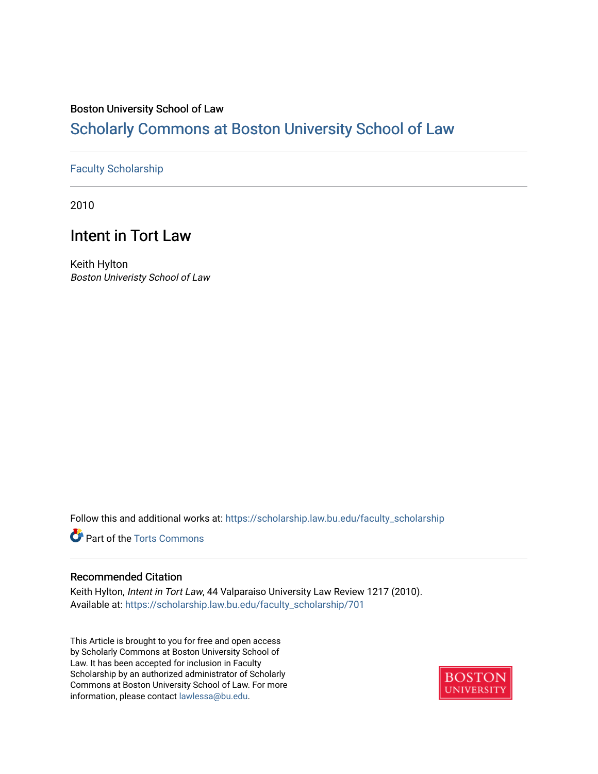## Boston University School of Law

# [Scholarly Commons at Boston University School of Law](https://scholarship.law.bu.edu/)

## [Faculty Scholarship](https://scholarship.law.bu.edu/faculty_scholarship)

2010

# Intent in Tort Law

Keith Hylton Boston Univeristy School of Law

Follow this and additional works at: [https://scholarship.law.bu.edu/faculty\\_scholarship](https://scholarship.law.bu.edu/faculty_scholarship?utm_source=scholarship.law.bu.edu%2Ffaculty_scholarship%2F701&utm_medium=PDF&utm_campaign=PDFCoverPages)

**P** Part of the [Torts Commons](http://network.bepress.com/hgg/discipline/913?utm_source=scholarship.law.bu.edu%2Ffaculty_scholarship%2F701&utm_medium=PDF&utm_campaign=PDFCoverPages)

## Recommended Citation

Keith Hylton, Intent in Tort Law, 44 Valparaiso University Law Review 1217 (2010). Available at: [https://scholarship.law.bu.edu/faculty\\_scholarship/701](https://scholarship.law.bu.edu/faculty_scholarship/701?utm_source=scholarship.law.bu.edu%2Ffaculty_scholarship%2F701&utm_medium=PDF&utm_campaign=PDFCoverPages) 

This Article is brought to you for free and open access by Scholarly Commons at Boston University School of Law. It has been accepted for inclusion in Faculty Scholarship by an authorized administrator of Scholarly Commons at Boston University School of Law. For more information, please contact [lawlessa@bu.edu.](mailto:lawlessa@bu.edu)

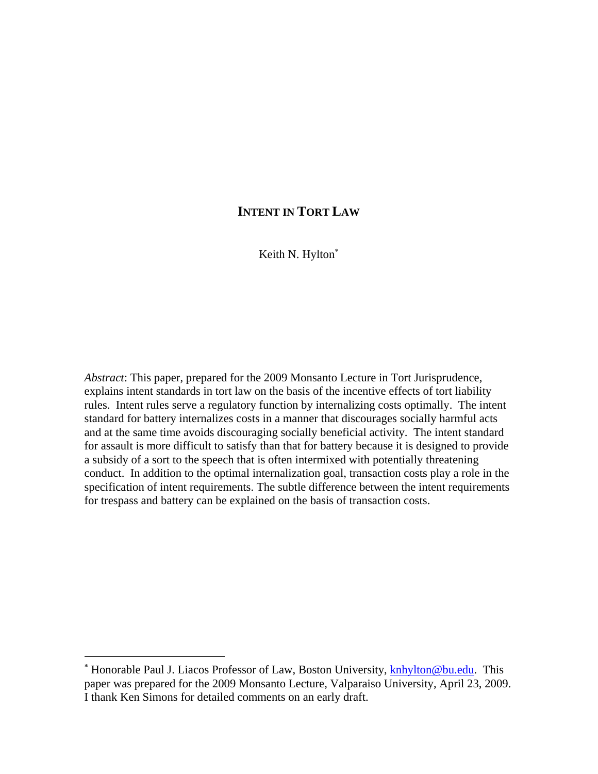# **INTENT IN TORT LAW**

Keith N. Hylton<sup>\*</sup>

*Abstract*: This paper, prepared for the 2009 Monsanto Lecture in Tort Jurisprudence, explains intent standards in tort law on the basis of the incentive effects of tort liability rules. Intent rules serve a regulatory function by internalizing costs optimally. The intent standard for battery internalizes costs in a manner that discourages socially harmful acts and at the same time avoids discouraging socially beneficial activity. The intent standard for assault is more difficult to satisfy than that for battery because it is designed to provide a subsidy of a sort to the speech that is often intermixed with potentially threatening conduct. In addition to the optimal internalization goal, transaction costs play a role in the specification of intent requirements. The subtle difference between the intent requirements for trespass and battery can be explained on the basis of transaction costs.

<sup>\*</sup> Honorable Paul J. Liacos Professor of Law, Boston University, **knhylton@bu.edu**. This paper was prepared for the 2009 Monsanto Lecture, Valparaiso University, April 23, 2009. I thank Ken Simons for detailed comments on an early draft.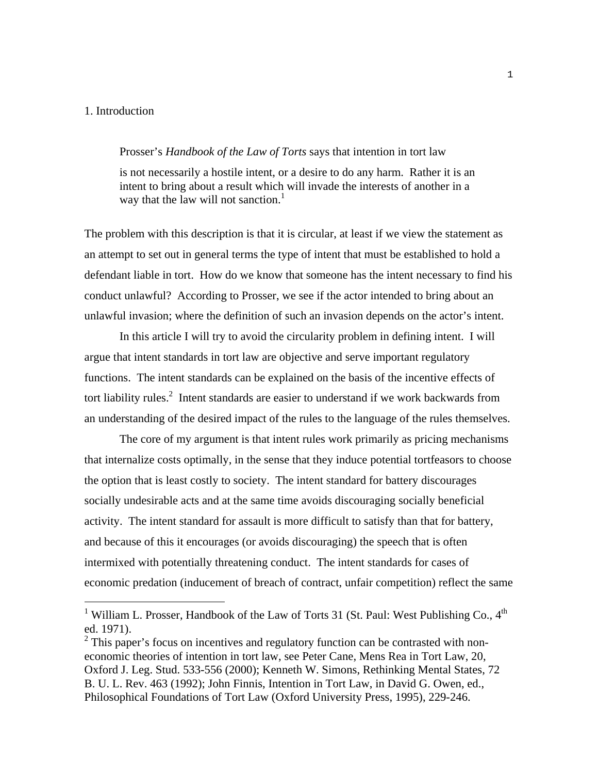#### 1. Introduction

i

#### Prosser's *Handbook of the Law of Torts* says that intention in tort law

is not necessarily a hostile intent, or a desire to do any harm. Rather it is an intent to bring about a result which will invade the interests of another in a way that the law will not sanction.<sup>1</sup>

The problem with this description is that it is circular, at least if we view the statement as an attempt to set out in general terms the type of intent that must be established to hold a defendant liable in tort. How do we know that someone has the intent necessary to find his conduct unlawful? According to Prosser, we see if the actor intended to bring about an unlawful invasion; where the definition of such an invasion depends on the actor's intent.

In this article I will try to avoid the circularity problem in defining intent. I will argue that intent standards in tort law are objective and serve important regulatory functions. The intent standards can be explained on the basis of the incentive effects of tort liability rules.<sup>2</sup> Intent standards are easier to understand if we work backwards from an understanding of the desired impact of the rules to the language of the rules themselves.

 The core of my argument is that intent rules work primarily as pricing mechanisms that internalize costs optimally, in the sense that they induce potential tortfeasors to choose the option that is least costly to society. The intent standard for battery discourages socially undesirable acts and at the same time avoids discouraging socially beneficial activity. The intent standard for assault is more difficult to satisfy than that for battery, and because of this it encourages (or avoids discouraging) the speech that is often intermixed with potentially threatening conduct. The intent standards for cases of economic predation (inducement of breach of contract, unfair competition) reflect the same

<sup>&</sup>lt;sup>1</sup> William L. Prosser, Handbook of the Law of Torts 31 (St. Paul: West Publishing Co.,  $4<sup>th</sup>$ ed. 1971).

 $2$  This paper's focus on incentives and regulatory function can be contrasted with noneconomic theories of intention in tort law, see Peter Cane, Mens Rea in Tort Law, 20, Oxford J. Leg. Stud. 533-556 (2000); Kenneth W. Simons, Rethinking Mental States, 72 B. U. L. Rev. 463 (1992); John Finnis, Intention in Tort Law, in David G. Owen, ed., Philosophical Foundations of Tort Law (Oxford University Press, 1995), 229-246.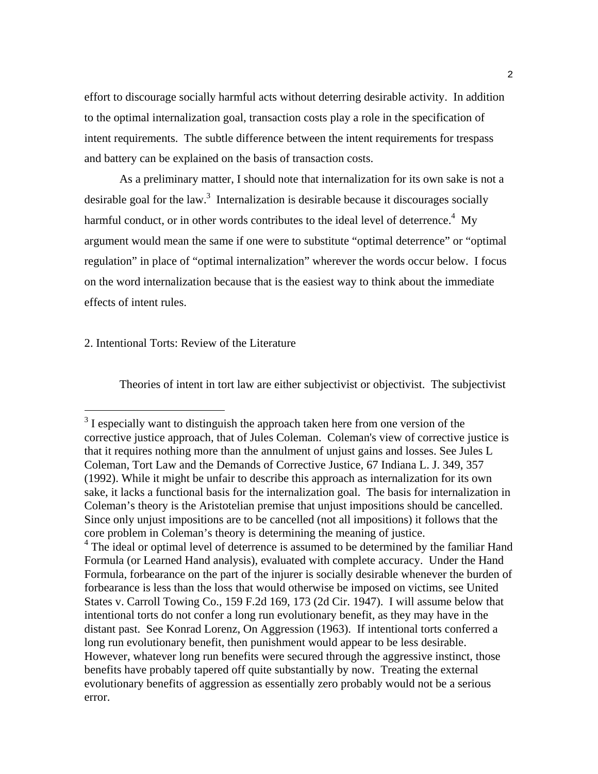effort to discourage socially harmful acts without deterring desirable activity. In addition to the optimal internalization goal, transaction costs play a role in the specification of intent requirements. The subtle difference between the intent requirements for trespass and battery can be explained on the basis of transaction costs.

 As a preliminary matter, I should note that internalization for its own sake is not a desirable goal for the law.<sup>3</sup> Internalization is desirable because it discourages socially harmful conduct, or in other words contributes to the ideal level of deterrence.<sup>4</sup> My argument would mean the same if one were to substitute "optimal deterrence" or "optimal regulation" in place of "optimal internalization" wherever the words occur below. I focus on the word internalization because that is the easiest way to think about the immediate effects of intent rules.

#### 2. Intentional Torts: Review of the Literature

Theories of intent in tort law are either subjectivist or objectivist. The subjectivist

<sup>&</sup>lt;sup>3</sup> I especially want to distinguish the approach taken here from one version of the corrective justice approach, that of Jules Coleman. Coleman's view of corrective justice is that it requires nothing more than the annulment of unjust gains and losses. See Jules L Coleman, Tort Law and the Demands of Corrective Justice*,* 67 Indiana L. J. 349, 357 (1992). While it might be unfair to describe this approach as internalization for its own sake, it lacks a functional basis for the internalization goal. The basis for internalization in Coleman's theory is the Aristotelian premise that unjust impositions should be cancelled. Since only unjust impositions are to be cancelled (not all impositions) it follows that the core problem in Coleman's theory is determining the meaning of justice. <sup>4</sup> The ideal or optimal level of deterrence is assumed to be determined by the familiar Hand Formula (or Learned Hand analysis), evaluated with complete accuracy. Under the Hand Formula, forbearance on the part of the injurer is socially desirable whenever the burden of forbearance is less than the loss that would otherwise be imposed on victims, see United States v. Carroll Towing Co., 159 F.2d 169, 173 (2d Cir. 1947). I will assume below that intentional torts do not confer a long run evolutionary benefit, as they may have in the distant past. See Konrad Lorenz, On Aggression (1963). If intentional torts conferred a long run evolutionary benefit, then punishment would appear to be less desirable.

However, whatever long run benefits were secured through the aggressive instinct, those benefits have probably tapered off quite substantially by now. Treating the external evolutionary benefits of aggression as essentially zero probably would not be a serious error.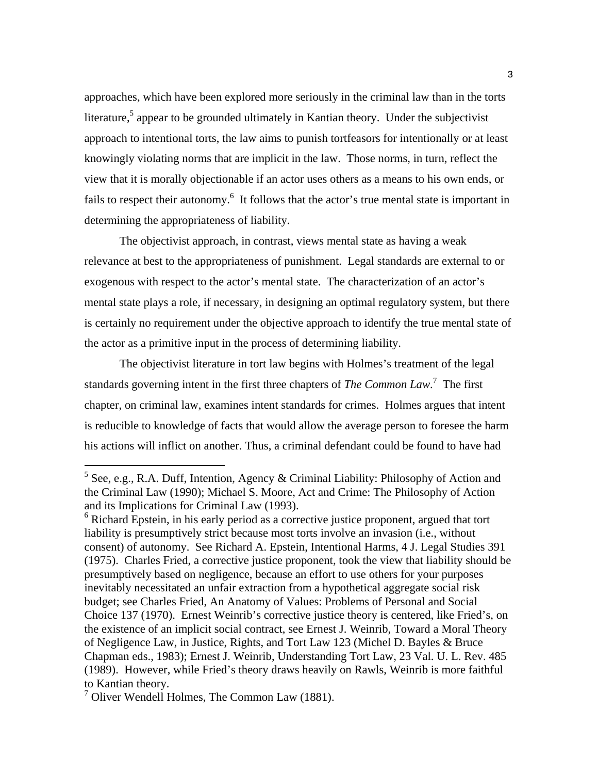approaches, which have been explored more seriously in the criminal law than in the torts literature,<sup>5</sup> appear to be grounded ultimately in Kantian theory. Under the subjectivist approach to intentional torts, the law aims to punish tortfeasors for intentionally or at least knowingly violating norms that are implicit in the law. Those norms, in turn, reflect the view that it is morally objectionable if an actor uses others as a means to his own ends, or fails to respect their autonomy.<sup>6</sup> It follows that the actor's true mental state is important in determining the appropriateness of liability.

The objectivist approach, in contrast, views mental state as having a weak relevance at best to the appropriateness of punishment. Legal standards are external to or exogenous with respect to the actor's mental state. The characterization of an actor's mental state plays a role, if necessary, in designing an optimal regulatory system, but there is certainly no requirement under the objective approach to identify the true mental state of the actor as a primitive input in the process of determining liability.

The objectivist literature in tort law begins with Holmes's treatment of the legal standards governing intent in the first three chapters of *The Common Law*. 7 The first chapter, on criminal law, examines intent standards for crimes. Holmes argues that intent is reducible to knowledge of facts that would allow the average person to foresee the harm his actions will inflict on another. Thus, a criminal defendant could be found to have had

<sup>&</sup>lt;sup>5</sup> See, e.g., R.A. Duff, Intention, Agency & Criminal Liability: Philosophy of Action and the Criminal Law (1990); Michael S. Moore, Act and Crime: The Philosophy of Action and its Implications for Criminal Law (1993).

<sup>&</sup>lt;sup>6</sup> Richard Epstein, in his early period as a corrective justice proponent, argued that tort liability is presumptively strict because most torts involve an invasion (i.e., without consent) of autonomy. See Richard A. Epstein, Intentional Harms, 4 J. Legal Studies 391 (1975). Charles Fried, a corrective justice proponent, took the view that liability should be presumptively based on negligence, because an effort to use others for your purposes inevitably necessitated an unfair extraction from a hypothetical aggregate social risk budget; see Charles Fried, An Anatomy of Values: Problems of Personal and Social Choice 137 (1970). Ernest Weinrib's corrective justice theory is centered, like Fried's, on the existence of an implicit social contract, see Ernest J. Weinrib, Toward a Moral Theory of Negligence Law, in Justice, Rights, and Tort Law 123 (Michel D. Bayles & Bruce Chapman eds., 1983); Ernest J. Weinrib, Understanding Tort Law, 23 Val. U. L. Rev. 485 (1989). However, while Fried's theory draws heavily on Rawls, Weinrib is more faithful to Kantian theory.

<sup>7</sup> Oliver Wendell Holmes, The Common Law (1881).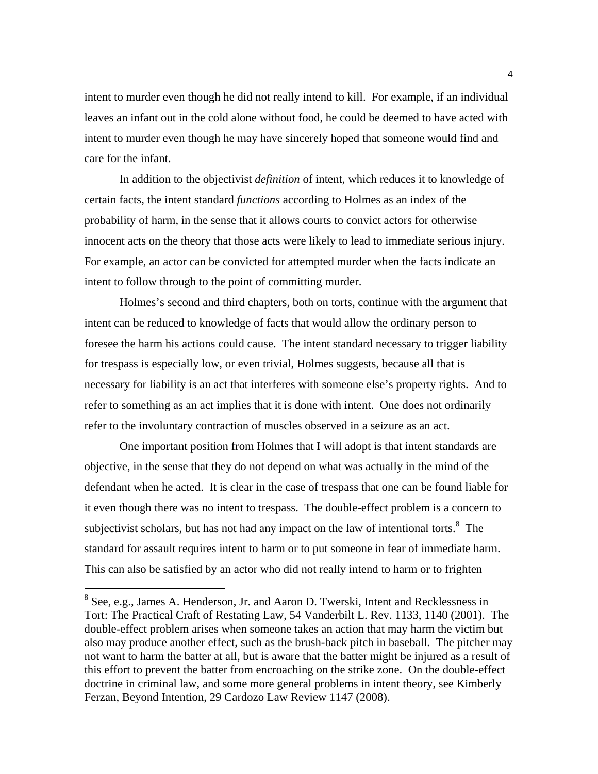intent to murder even though he did not really intend to kill. For example, if an individual leaves an infant out in the cold alone without food, he could be deemed to have acted with intent to murder even though he may have sincerely hoped that someone would find and care for the infant.

In addition to the objectivist *definition* of intent, which reduces it to knowledge of certain facts, the intent standard *functions* according to Holmes as an index of the probability of harm, in the sense that it allows courts to convict actors for otherwise innocent acts on the theory that those acts were likely to lead to immediate serious injury. For example, an actor can be convicted for attempted murder when the facts indicate an intent to follow through to the point of committing murder.

Holmes's second and third chapters, both on torts, continue with the argument that intent can be reduced to knowledge of facts that would allow the ordinary person to foresee the harm his actions could cause. The intent standard necessary to trigger liability for trespass is especially low, or even trivial, Holmes suggests, because all that is necessary for liability is an act that interferes with someone else's property rights. And to refer to something as an act implies that it is done with intent. One does not ordinarily refer to the involuntary contraction of muscles observed in a seizure as an act.

 One important position from Holmes that I will adopt is that intent standards are objective, in the sense that they do not depend on what was actually in the mind of the defendant when he acted. It is clear in the case of trespass that one can be found liable for it even though there was no intent to trespass. The double-effect problem is a concern to subjectivist scholars, but has not had any impact on the law of intentional torts. $8\text{ }$ The standard for assault requires intent to harm or to put someone in fear of immediate harm. This can also be satisfied by an actor who did not really intend to harm or to frighten

<sup>&</sup>lt;sup>8</sup> See, e.g., James A. Henderson, Jr. and Aaron D. Twerski, Intent and Recklessness in Tort: The Practical Craft of Restating Law, 54 Vanderbilt L. Rev. 1133, 1140 (2001). The double-effect problem arises when someone takes an action that may harm the victim but also may produce another effect, such as the brush-back pitch in baseball. The pitcher may not want to harm the batter at all, but is aware that the batter might be injured as a result of this effort to prevent the batter from encroaching on the strike zone. On the double-effect doctrine in criminal law, and some more general problems in intent theory, see Kimberly Ferzan, Beyond Intention, 29 Cardozo Law Review 1147 (2008).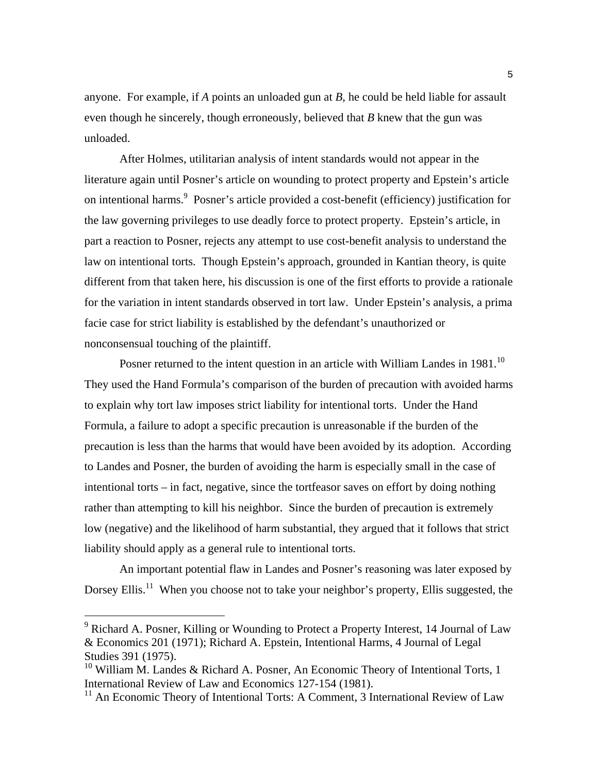anyone. For example, if *A* points an unloaded gun at *B*, he could be held liable for assault even though he sincerely, though erroneously, believed that *B* knew that the gun was unloaded.

 After Holmes, utilitarian analysis of intent standards would not appear in the literature again until Posner's article on wounding to protect property and Epstein's article on intentional harms.<sup>9</sup> Posner's article provided a cost-benefit (efficiency) justification for the law governing privileges to use deadly force to protect property. Epstein's article, in part a reaction to Posner, rejects any attempt to use cost-benefit analysis to understand the law on intentional torts. Though Epstein's approach, grounded in Kantian theory, is quite different from that taken here, his discussion is one of the first efforts to provide a rationale for the variation in intent standards observed in tort law. Under Epstein's analysis, a prima facie case for strict liability is established by the defendant's unauthorized or nonconsensual touching of the plaintiff.

Posner returned to the intent question in an article with William Landes in 1981.<sup>10</sup> They used the Hand Formula's comparison of the burden of precaution with avoided harms to explain why tort law imposes strict liability for intentional torts. Under the Hand Formula, a failure to adopt a specific precaution is unreasonable if the burden of the precaution is less than the harms that would have been avoided by its adoption. According to Landes and Posner, the burden of avoiding the harm is especially small in the case of intentional torts – in fact, negative, since the tortfeasor saves on effort by doing nothing rather than attempting to kill his neighbor. Since the burden of precaution is extremely low (negative) and the likelihood of harm substantial, they argued that it follows that strict liability should apply as a general rule to intentional torts.

 An important potential flaw in Landes and Posner's reasoning was later exposed by Dorsey Ellis.<sup>11</sup> When you choose not to take your neighbor's property, Ellis suggested, the

<sup>&</sup>lt;sup>9</sup> Richard A. Posner, Killing or Wounding to Protect a Property Interest, 14 Journal of Law & Economics 201 (1971); Richard A. Epstein, Intentional Harms, 4 Journal of Legal Studies 391 (1975).

<sup>&</sup>lt;sup>10</sup> William M. Landes & Richard A. Posner, An Economic Theory of Intentional Torts, 1 International Review of Law and Economics 127-154 (1981).

 $11$  An Economic Theory of Intentional Torts: A Comment, 3 International Review of Law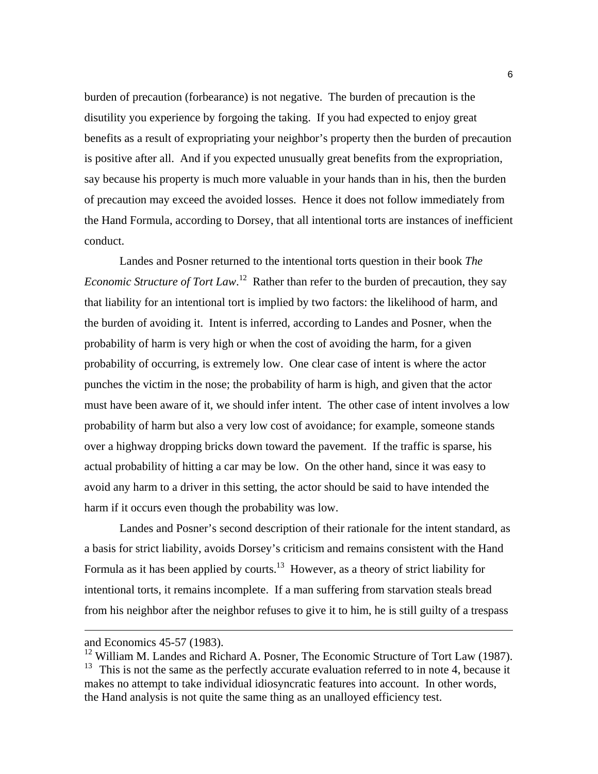burden of precaution (forbearance) is not negative. The burden of precaution is the disutility you experience by forgoing the taking. If you had expected to enjoy great benefits as a result of expropriating your neighbor's property then the burden of precaution is positive after all. And if you expected unusually great benefits from the expropriation, say because his property is much more valuable in your hands than in his, then the burden of precaution may exceed the avoided losses. Hence it does not follow immediately from the Hand Formula, according to Dorsey, that all intentional torts are instances of inefficient conduct.

 Landes and Posner returned to the intentional torts question in their book *The Economic Structure of Tort Law*.<sup>12</sup> Rather than refer to the burden of precaution, they say that liability for an intentional tort is implied by two factors: the likelihood of harm, and the burden of avoiding it. Intent is inferred, according to Landes and Posner, when the probability of harm is very high or when the cost of avoiding the harm, for a given probability of occurring, is extremely low. One clear case of intent is where the actor punches the victim in the nose; the probability of harm is high, and given that the actor must have been aware of it, we should infer intent. The other case of intent involves a low probability of harm but also a very low cost of avoidance; for example, someone stands over a highway dropping bricks down toward the pavement. If the traffic is sparse, his actual probability of hitting a car may be low. On the other hand, since it was easy to avoid any harm to a driver in this setting, the actor should be said to have intended the harm if it occurs even though the probability was low.

 Landes and Posner's second description of their rationale for the intent standard, as a basis for strict liability, avoids Dorsey's criticism and remains consistent with the Hand Formula as it has been applied by courts.<sup>13</sup> However, as a theory of strict liability for intentional torts, it remains incomplete. If a man suffering from starvation steals bread from his neighbor after the neighbor refuses to give it to him, he is still guilty of a trespass

and Economics 45-57 (1983).

<sup>&</sup>lt;sup>12</sup> William M. Landes and Richard A. Posner, The Economic Structure of Tort Law (1987).  $13$  This is not the same as the perfectly accurate evaluation referred to in note 4, because it makes no attempt to take individual idiosyncratic features into account. In other words, the Hand analysis is not quite the same thing as an unalloyed efficiency test.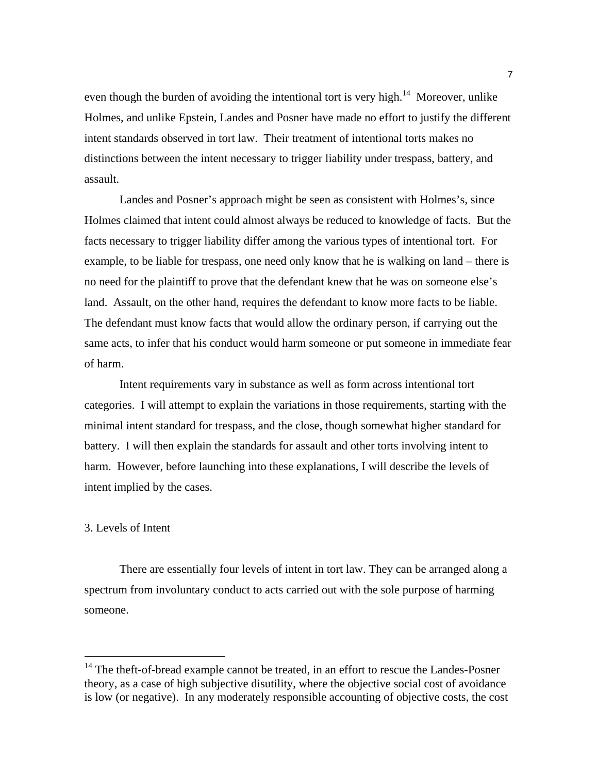even though the burden of avoiding the intentional tort is very high.<sup>14</sup> Moreover, unlike Holmes, and unlike Epstein, Landes and Posner have made no effort to justify the different intent standards observed in tort law. Their treatment of intentional torts makes no distinctions between the intent necessary to trigger liability under trespass, battery, and assault.

 Landes and Posner's approach might be seen as consistent with Holmes's, since Holmes claimed that intent could almost always be reduced to knowledge of facts. But the facts necessary to trigger liability differ among the various types of intentional tort. For example, to be liable for trespass, one need only know that he is walking on land – there is no need for the plaintiff to prove that the defendant knew that he was on someone else's land. Assault, on the other hand, requires the defendant to know more facts to be liable. The defendant must know facts that would allow the ordinary person, if carrying out the same acts, to infer that his conduct would harm someone or put someone in immediate fear of harm.

 Intent requirements vary in substance as well as form across intentional tort categories. I will attempt to explain the variations in those requirements, starting with the minimal intent standard for trespass, and the close, though somewhat higher standard for battery. I will then explain the standards for assault and other torts involving intent to harm. However, before launching into these explanations, I will describe the levels of intent implied by the cases.

### 3. Levels of Intent

i

There are essentially four levels of intent in tort law. They can be arranged along a spectrum from involuntary conduct to acts carried out with the sole purpose of harming someone.

 $14$  The theft-of-bread example cannot be treated, in an effort to rescue the Landes-Posner theory, as a case of high subjective disutility, where the objective social cost of avoidance is low (or negative). In any moderately responsible accounting of objective costs, the cost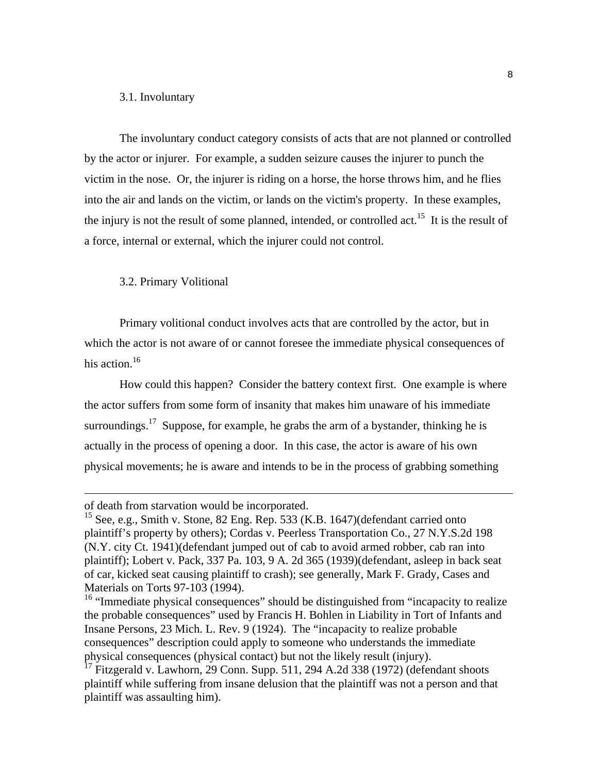#### 3.1. Involuntary

The involuntary conduct category consists of acts that are not planned or controlled by the actor or injurer. For example, a sudden seizure causes the injurer to punch the victim in the nose. Or, the injurer is riding on a horse, the horse throws him, and he flies into the air and lands on the victim, or lands on the victim's property. In these examples, the injury is not the result of some planned, intended, or controlled act.<sup>15</sup> It is the result of a force, internal or external, which the injurer could not control.

#### 3.2. Primary Volitional

Primary volitional conduct involves acts that are controlled by the actor, but in which the actor is not aware of or cannot foresee the immediate physical consequences of his action.<sup>16</sup>

How could this happen? Consider the battery context first. One example is where the actor suffers from some form of insanity that makes him unaware of his immediate surroundings.<sup>17</sup> Suppose, for example, he grabs the arm of a bystander, thinking he is actually in the process of opening a door. In this case, the actor is aware of his own physical movements; he is aware and intends to be in the process of grabbing something

of death from starvation would be incorporated.

<sup>&</sup>lt;sup>15</sup> See, e.g., Smith v. Stone, 82 Eng. Rep. 533 (K.B. 1647)(defendant carried onto plaintiff's property by others); Cordas v. Peerless Transportation Co., 27 N.Y.S.2d 198 (N.Y. city Ct. 1941)(defendant jumped out of cab to avoid armed robber, cab ran into plaintiff); Lobert v. Pack, 337 Pa. 103, 9 A. 2d 365 (1939)(defendant, asleep in back seat of car, kicked seat causing plaintiff to crash); see generally, Mark F. Grady, Cases and Materials on Torts 97-103 (1994).

<sup>&</sup>lt;sup>16</sup> "Immediate physical consequences" should be distinguished from "incapacity to realize the probable consequences" used by Francis H. Bohlen in Liability in Tort of Infants and Insane Persons, 23 Mich. L. Rev. 9 (1924). The "incapacity to realize probable consequences" description could apply to someone who understands the immediate physical consequences (physical contact) but not the likely result (injury).

 $17$  Fitzgerald v. Lawhorn, 29 Conn. Supp. 511, 294 A.2d 338 (1972) (defendant shoots plaintiff while suffering from insane delusion that the plaintiff was not a person and that plaintiff was assaulting him).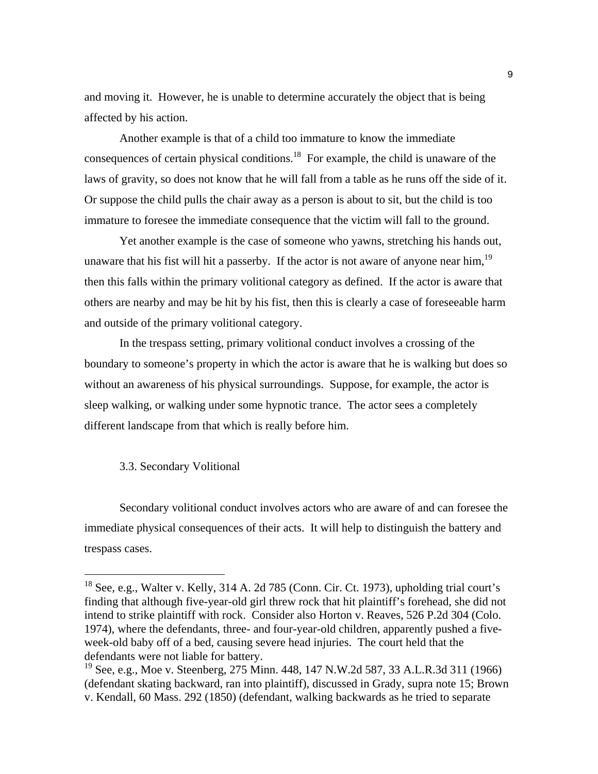and moving it. However, he is unable to determine accurately the object that is being affected by his action.

Another example is that of a child too immature to know the immediate consequences of certain physical conditions.<sup>18</sup> For example, the child is unaware of the laws of gravity, so does not know that he will fall from a table as he runs off the side of it. Or suppose the child pulls the chair away as a person is about to sit, but the child is too immature to foresee the immediate consequence that the victim will fall to the ground.

Yet another example is the case of someone who yawns, stretching his hands out, unaware that his fist will hit a passerby. If the actor is not aware of anyone near him,<sup>19</sup> then this falls within the primary volitional category as defined. If the actor is aware that others are nearby and may be hit by his fist, then this is clearly a case of foreseeable harm and outside of the primary volitional category.

In the trespass setting, primary volitional conduct involves a crossing of the boundary to someone's property in which the actor is aware that he is walking but does so without an awareness of his physical surroundings. Suppose, for example, the actor is sleep walking, or walking under some hypnotic trance. The actor sees a completely different landscape from that which is really before him.

#### 3.3. Secondary Volitional

i<br>Li

Secondary volitional conduct involves actors who are aware of and can foresee the immediate physical consequences of their acts. It will help to distinguish the battery and trespass cases.

 $^{18}$  See, e.g., Walter v. Kelly, 314 A. 2d 785 (Conn. Cir. Ct. 1973), upholding trial court's finding that although five-year-old girl threw rock that hit plaintiff's forehead, she did not intend to strike plaintiff with rock. Consider also Horton v. Reaves, 526 P.2d 304 (Colo. 1974), where the defendants, three- and four-year-old children, apparently pushed a fiveweek-old baby off of a bed, causing severe head injuries. The court held that the defendants were not liable for battery.

<sup>&</sup>lt;sup>19</sup> See, e.g., Moe v. Steenberg, 275 Minn. 448, 147 N.W.2d 587, 33 A.L.R.3d 311 (1966) (defendant skating backward, ran into plaintiff), discussed in Grady, supra note 15; Brown v. Kendall, 60 Mass. 292 (1850) (defendant, walking backwards as he tried to separate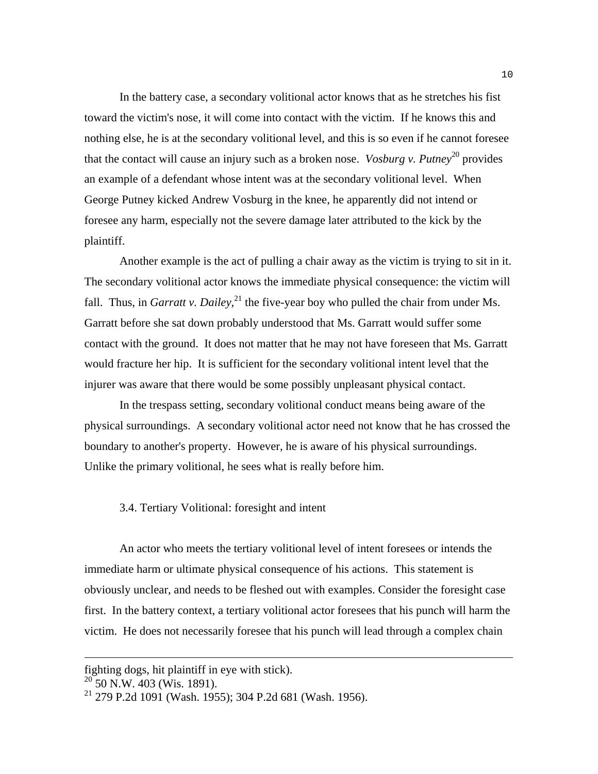In the battery case, a secondary volitional actor knows that as he stretches his fist toward the victim's nose, it will come into contact with the victim. If he knows this and nothing else, he is at the secondary volitional level, and this is so even if he cannot foresee that the contact will cause an injury such as a broken nose. *Vosburg v. Putney*<sup>20</sup> provides an example of a defendant whose intent was at the secondary volitional level. When George Putney kicked Andrew Vosburg in the knee, he apparently did not intend or foresee any harm, especially not the severe damage later attributed to the kick by the plaintiff.

Another example is the act of pulling a chair away as the victim is trying to sit in it. The secondary volitional actor knows the immediate physical consequence: the victim will fall. Thus, in *Garratt v. Dailey*,  $^{21}$  the five-year boy who pulled the chair from under Ms. Garratt before she sat down probably understood that Ms. Garratt would suffer some contact with the ground. It does not matter that he may not have foreseen that Ms. Garratt would fracture her hip. It is sufficient for the secondary volitional intent level that the injurer was aware that there would be some possibly unpleasant physical contact.

 In the trespass setting, secondary volitional conduct means being aware of the physical surroundings. A secondary volitional actor need not know that he has crossed the boundary to another's property. However, he is aware of his physical surroundings. Unlike the primary volitional, he sees what is really before him.

3.4. Tertiary Volitional: foresight and intent

An actor who meets the tertiary volitional level of intent foresees or intends the immediate harm or ultimate physical consequence of his actions. This statement is obviously unclear, and needs to be fleshed out with examples. Consider the foresight case first. In the battery context, a tertiary volitional actor foresees that his punch will harm the victim. He does not necessarily foresee that his punch will lead through a complex chain

fighting dogs, hit plaintiff in eye with stick).

 $^{20}$  50 N.W. 403 (Wis. 1891).

<sup>21 279</sup> P.2d 1091 (Wash. 1955); 304 P.2d 681 (Wash. 1956).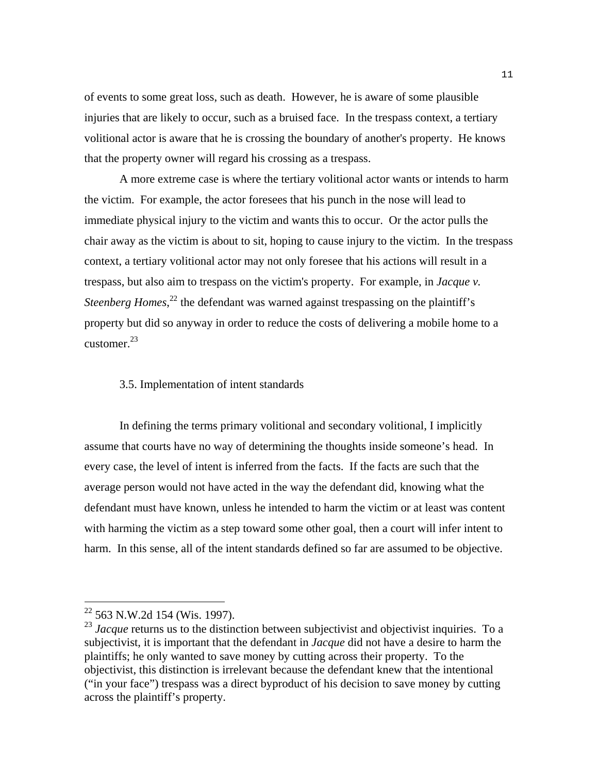of events to some great loss, such as death. However, he is aware of some plausible injuries that are likely to occur, such as a bruised face. In the trespass context, a tertiary volitional actor is aware that he is crossing the boundary of another's property. He knows that the property owner will regard his crossing as a trespass.

 A more extreme case is where the tertiary volitional actor wants or intends to harm the victim. For example, the actor foresees that his punch in the nose will lead to immediate physical injury to the victim and wants this to occur. Or the actor pulls the chair away as the victim is about to sit, hoping to cause injury to the victim. In the trespass context, a tertiary volitional actor may not only foresee that his actions will result in a trespass, but also aim to trespass on the victim's property. For example, in *Jacque v.*  Steenberg Homes,<sup>22</sup> the defendant was warned against trespassing on the plaintiff's property but did so anyway in order to reduce the costs of delivering a mobile home to a customer. $^{23}$ 

#### 3.5. Implementation of intent standards

In defining the terms primary volitional and secondary volitional, I implicitly assume that courts have no way of determining the thoughts inside someone's head. In every case, the level of intent is inferred from the facts. If the facts are such that the average person would not have acted in the way the defendant did, knowing what the defendant must have known, unless he intended to harm the victim or at least was content with harming the victim as a step toward some other goal, then a court will infer intent to harm. In this sense, all of the intent standards defined so far are assumed to be objective.

 $22$  563 N.W.2d 154 (Wis. 1997).

<sup>&</sup>lt;sup>23</sup> *Jacque* returns us to the distinction between subjectivist and objectivist inquiries. To a subjectivist, it is important that the defendant in *Jacque* did not have a desire to harm the plaintiffs; he only wanted to save money by cutting across their property. To the objectivist, this distinction is irrelevant because the defendant knew that the intentional ("in your face") trespass was a direct byproduct of his decision to save money by cutting across the plaintiff's property.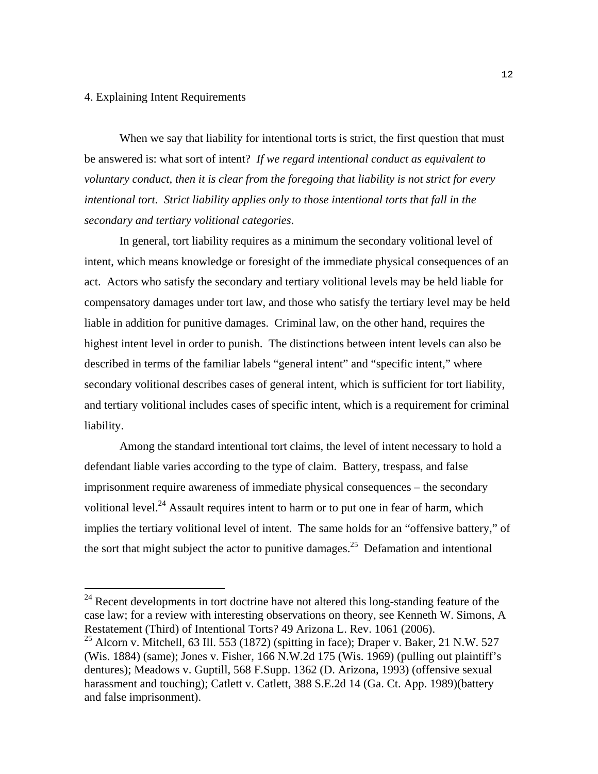#### 4. Explaining Intent Requirements

i<br>Li

When we say that liability for intentional torts is strict, the first question that must be answered is: what sort of intent? *If we regard intentional conduct as equivalent to voluntary conduct, then it is clear from the foregoing that liability is not strict for every intentional tort. Strict liability applies only to those intentional torts that fall in the secondary and tertiary volitional categories*.

 In general, tort liability requires as a minimum the secondary volitional level of intent, which means knowledge or foresight of the immediate physical consequences of an act. Actors who satisfy the secondary and tertiary volitional levels may be held liable for compensatory damages under tort law, and those who satisfy the tertiary level may be held liable in addition for punitive damages. Criminal law, on the other hand, requires the highest intent level in order to punish. The distinctions between intent levels can also be described in terms of the familiar labels "general intent" and "specific intent," where secondary volitional describes cases of general intent, which is sufficient for tort liability, and tertiary volitional includes cases of specific intent, which is a requirement for criminal liability.

 Among the standard intentional tort claims, the level of intent necessary to hold a defendant liable varies according to the type of claim. Battery, trespass, and false imprisonment require awareness of immediate physical consequences – the secondary volitional level.<sup>24</sup> Assault requires intent to harm or to put one in fear of harm, which implies the tertiary volitional level of intent. The same holds for an "offensive battery," of the sort that might subject the actor to punitive damages.<sup>25</sup> Defamation and intentional

 $24$  Recent developments in tort doctrine have not altered this long-standing feature of the case law; for a review with interesting observations on theory, see Kenneth W. Simons, A Restatement (Third) of Intentional Torts? 49 Arizona L. Rev. 1061 (2006).

<sup>&</sup>lt;sup>25</sup> Alcorn v. Mitchell, 63 Ill. 553 (1872) (spitting in face); Draper v. Baker, 21 N.W. 527 (Wis. 1884) (same); Jones v. Fisher, 166 N.W.2d 175 (Wis. 1969) (pulling out plaintiff's dentures); Meadows v. Guptill, 568 F.Supp. 1362 (D. Arizona, 1993) (offensive sexual harassment and touching); Catlett v. Catlett, 388 S.E.2d 14 (Ga. Ct. App. 1989)(battery and false imprisonment).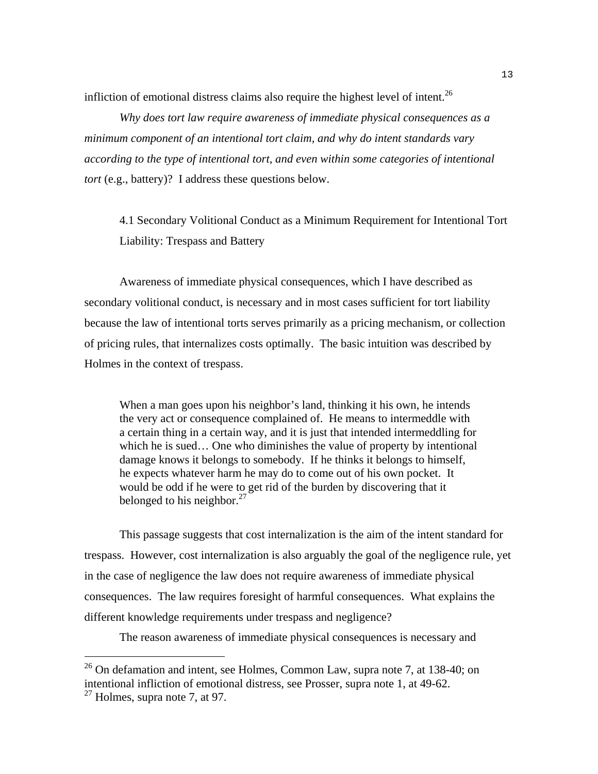infliction of emotional distress claims also require the highest level of intent.<sup>26</sup>

*Why does tort law require awareness of immediate physical consequences as a minimum component of an intentional tort claim, and why do intent standards vary according to the type of intentional tort, and even within some categories of intentional tort* (e.g., battery)? I address these questions below.

4.1 Secondary Volitional Conduct as a Minimum Requirement for Intentional Tort Liability: Trespass and Battery

Awareness of immediate physical consequences, which I have described as secondary volitional conduct, is necessary and in most cases sufficient for tort liability because the law of intentional torts serves primarily as a pricing mechanism, or collection of pricing rules, that internalizes costs optimally. The basic intuition was described by Holmes in the context of trespass.

When a man goes upon his neighbor's land, thinking it his own, he intends the very act or consequence complained of. He means to intermeddle with a certain thing in a certain way, and it is just that intended intermeddling for which he is sued… One who diminishes the value of property by intentional damage knows it belongs to somebody. If he thinks it belongs to himself, he expects whatever harm he may do to come out of his own pocket. It would be odd if he were to get rid of the burden by discovering that it belonged to his neighbor. $27$ 

This passage suggests that cost internalization is the aim of the intent standard for trespass. However, cost internalization is also arguably the goal of the negligence rule, yet in the case of negligence the law does not require awareness of immediate physical consequences. The law requires foresight of harmful consequences. What explains the different knowledge requirements under trespass and negligence?

The reason awareness of immediate physical consequences is necessary and

 $^{26}$  On defamation and intent, see Holmes, Common Law, supra note 7, at 138-40; on intentional infliction of emotional distress, see Prosser, supra note 1, at 49-62.

 $27$  Holmes, supra note 7, at 97.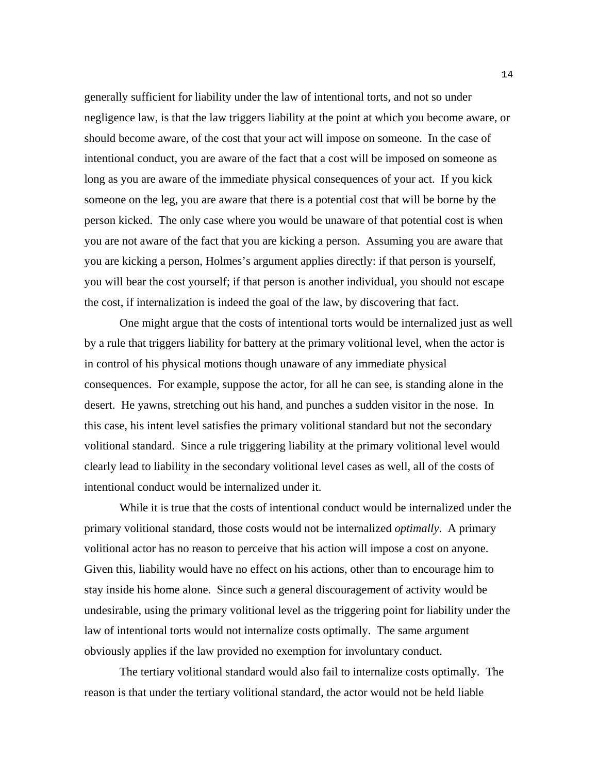generally sufficient for liability under the law of intentional torts, and not so under negligence law, is that the law triggers liability at the point at which you become aware, or should become aware, of the cost that your act will impose on someone. In the case of intentional conduct, you are aware of the fact that a cost will be imposed on someone as long as you are aware of the immediate physical consequences of your act. If you kick someone on the leg, you are aware that there is a potential cost that will be borne by the person kicked. The only case where you would be unaware of that potential cost is when you are not aware of the fact that you are kicking a person. Assuming you are aware that you are kicking a person, Holmes's argument applies directly: if that person is yourself, you will bear the cost yourself; if that person is another individual, you should not escape the cost, if internalization is indeed the goal of the law, by discovering that fact.

One might argue that the costs of intentional torts would be internalized just as well by a rule that triggers liability for battery at the primary volitional level, when the actor is in control of his physical motions though unaware of any immediate physical consequences. For example, suppose the actor, for all he can see, is standing alone in the desert. He yawns, stretching out his hand, and punches a sudden visitor in the nose. In this case, his intent level satisfies the primary volitional standard but not the secondary volitional standard. Since a rule triggering liability at the primary volitional level would clearly lead to liability in the secondary volitional level cases as well, all of the costs of intentional conduct would be internalized under it.

While it is true that the costs of intentional conduct would be internalized under the primary volitional standard, those costs would not be internalized *optimally*. A primary volitional actor has no reason to perceive that his action will impose a cost on anyone. Given this, liability would have no effect on his actions, other than to encourage him to stay inside his home alone. Since such a general discouragement of activity would be undesirable, using the primary volitional level as the triggering point for liability under the law of intentional torts would not internalize costs optimally. The same argument obviously applies if the law provided no exemption for involuntary conduct.

The tertiary volitional standard would also fail to internalize costs optimally. The reason is that under the tertiary volitional standard, the actor would not be held liable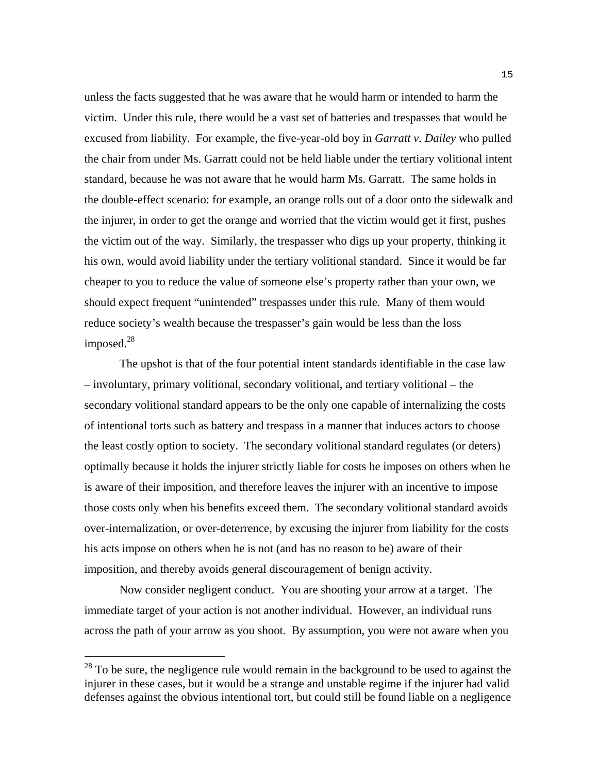unless the facts suggested that he was aware that he would harm or intended to harm the victim. Under this rule, there would be a vast set of batteries and trespasses that would be excused from liability. For example, the five-year-old boy in *Garratt v. Dailey* who pulled the chair from under Ms. Garratt could not be held liable under the tertiary volitional intent standard, because he was not aware that he would harm Ms. Garratt. The same holds in the double-effect scenario: for example, an orange rolls out of a door onto the sidewalk and the injurer, in order to get the orange and worried that the victim would get it first, pushes the victim out of the way. Similarly, the trespasser who digs up your property, thinking it his own, would avoid liability under the tertiary volitional standard. Since it would be far cheaper to you to reduce the value of someone else's property rather than your own, we should expect frequent "unintended" trespasses under this rule. Many of them would reduce society's wealth because the trespasser's gain would be less than the loss imposed.<sup>28</sup>

The upshot is that of the four potential intent standards identifiable in the case law – involuntary, primary volitional, secondary volitional, and tertiary volitional – the secondary volitional standard appears to be the only one capable of internalizing the costs of intentional torts such as battery and trespass in a manner that induces actors to choose the least costly option to society. The secondary volitional standard regulates (or deters) optimally because it holds the injurer strictly liable for costs he imposes on others when he is aware of their imposition, and therefore leaves the injurer with an incentive to impose those costs only when his benefits exceed them. The secondary volitional standard avoids over-internalization, or over-deterrence, by excusing the injurer from liability for the costs his acts impose on others when he is not (and has no reason to be) aware of their imposition, and thereby avoids general discouragement of benign activity.

Now consider negligent conduct. You are shooting your arrow at a target. The immediate target of your action is not another individual. However, an individual runs across the path of your arrow as you shoot. By assumption, you were not aware when you

 $^{28}$  To be sure, the negligence rule would remain in the background to be used to against the injurer in these cases, but it would be a strange and unstable regime if the injurer had valid defenses against the obvious intentional tort, but could still be found liable on a negligence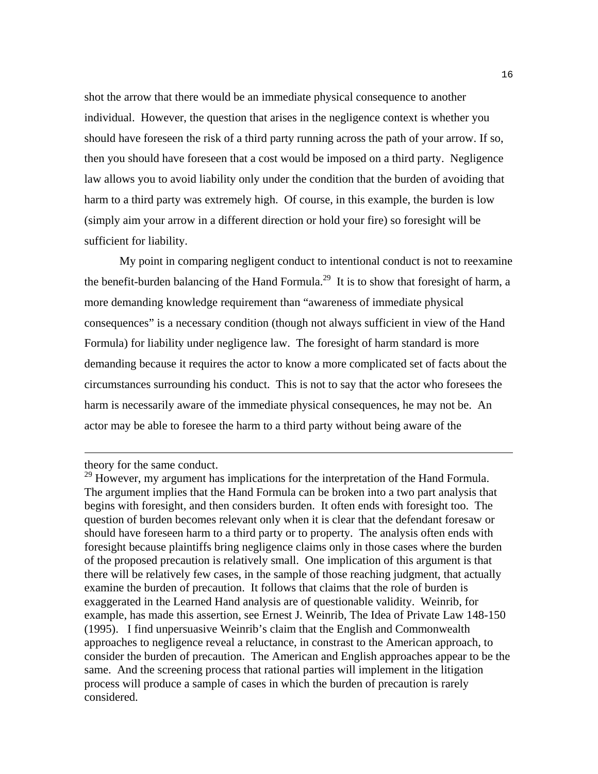shot the arrow that there would be an immediate physical consequence to another individual. However, the question that arises in the negligence context is whether you should have foreseen the risk of a third party running across the path of your arrow. If so, then you should have foreseen that a cost would be imposed on a third party. Negligence law allows you to avoid liability only under the condition that the burden of avoiding that harm to a third party was extremely high. Of course, in this example, the burden is low (simply aim your arrow in a different direction or hold your fire) so foresight will be sufficient for liability.

 My point in comparing negligent conduct to intentional conduct is not to reexamine the benefit-burden balancing of the Hand Formula.<sup>29</sup> It is to show that foresight of harm, a more demanding knowledge requirement than "awareness of immediate physical consequences" is a necessary condition (though not always sufficient in view of the Hand Formula) for liability under negligence law. The foresight of harm standard is more demanding because it requires the actor to know a more complicated set of facts about the circumstances surrounding his conduct. This is not to say that the actor who foresees the harm is necessarily aware of the immediate physical consequences, he may not be. An actor may be able to foresee the harm to a third party without being aware of the

theory for the same conduct.

<sup>&</sup>lt;sup>29</sup> However, my argument has implications for the interpretation of the Hand Formula. The argument implies that the Hand Formula can be broken into a two part analysis that begins with foresight, and then considers burden. It often ends with foresight too. The question of burden becomes relevant only when it is clear that the defendant foresaw or should have foreseen harm to a third party or to property. The analysis often ends with foresight because plaintiffs bring negligence claims only in those cases where the burden of the proposed precaution is relatively small. One implication of this argument is that there will be relatively few cases, in the sample of those reaching judgment, that actually examine the burden of precaution. It follows that claims that the role of burden is exaggerated in the Learned Hand analysis are of questionable validity. Weinrib, for example, has made this assertion, see Ernest J. Weinrib, The Idea of Private Law 148-150 (1995). I find unpersuasive Weinrib's claim that the English and Commonwealth approaches to negligence reveal a reluctance, in constrast to the American approach, to consider the burden of precaution. The American and English approaches appear to be the same. And the screening process that rational parties will implement in the litigation process will produce a sample of cases in which the burden of precaution is rarely considered.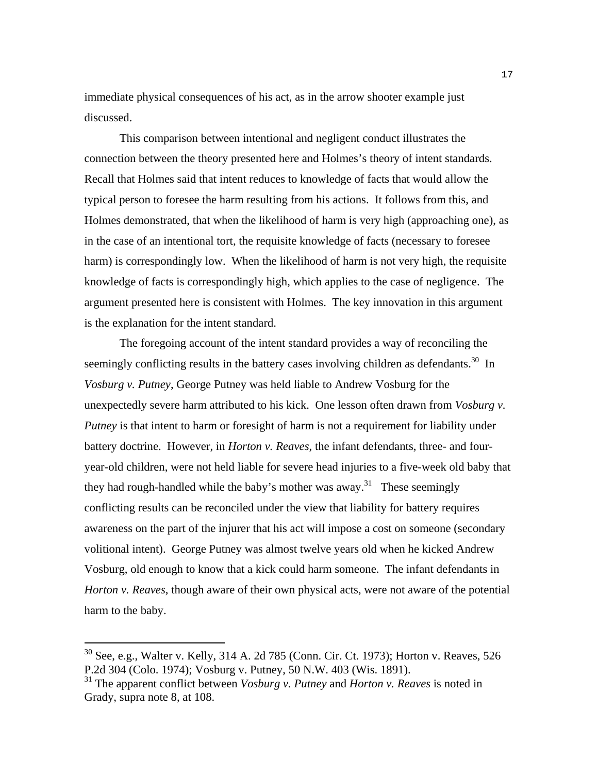immediate physical consequences of his act, as in the arrow shooter example just discussed.

 This comparison between intentional and negligent conduct illustrates the connection between the theory presented here and Holmes's theory of intent standards. Recall that Holmes said that intent reduces to knowledge of facts that would allow the typical person to foresee the harm resulting from his actions. It follows from this, and Holmes demonstrated, that when the likelihood of harm is very high (approaching one), as in the case of an intentional tort, the requisite knowledge of facts (necessary to foresee harm) is correspondingly low. When the likelihood of harm is not very high, the requisite knowledge of facts is correspondingly high, which applies to the case of negligence. The argument presented here is consistent with Holmes. The key innovation in this argument is the explanation for the intent standard.

The foregoing account of the intent standard provides a way of reconciling the seemingly conflicting results in the battery cases involving children as defendants.<sup>30</sup> In *Vosburg v. Putney*, George Putney was held liable to Andrew Vosburg for the unexpectedly severe harm attributed to his kick. One lesson often drawn from *Vosburg v. Putney* is that intent to harm or foresight of harm is not a requirement for liability under battery doctrine. However, in *Horton v. Reaves*, the infant defendants, three- and fouryear-old children, were not held liable for severe head injuries to a five-week old baby that they had rough-handled while the baby's mother was away.<sup>31</sup> These seemingly conflicting results can be reconciled under the view that liability for battery requires awareness on the part of the injurer that his act will impose a cost on someone (secondary volitional intent). George Putney was almost twelve years old when he kicked Andrew Vosburg, old enough to know that a kick could harm someone. The infant defendants in *Horton v. Reaves*, though aware of their own physical acts, were not aware of the potential harm to the baby.

 $30$  See, e.g., Walter v. Kelly, 314 A. 2d 785 (Conn. Cir. Ct. 1973); Horton v. Reaves, 526 P.2d 304 (Colo. 1974); Vosburg v. Putney, 50 N.W. 403 (Wis. 1891).

<sup>31</sup> The apparent conflict between *Vosburg v. Putney* and *Horton v. Reaves* is noted in Grady, supra note 8, at 108.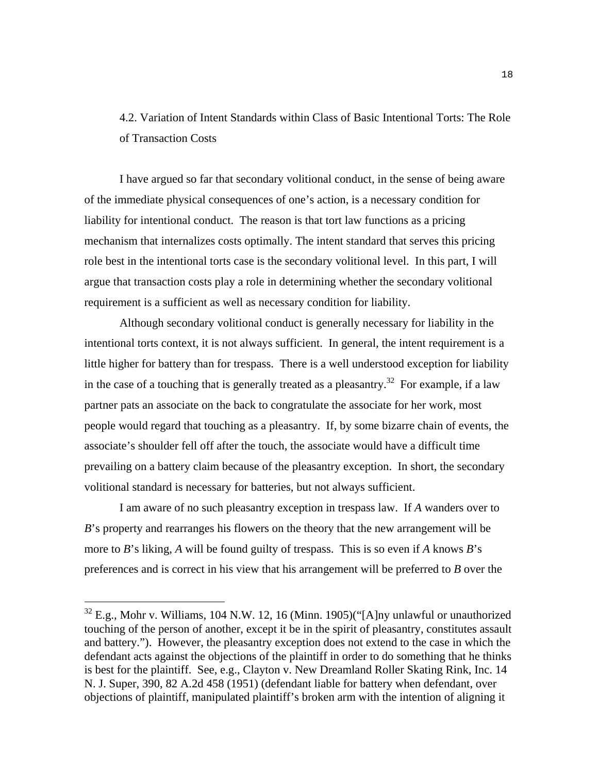# 4.2. Variation of Intent Standards within Class of Basic Intentional Torts: The Role of Transaction Costs

I have argued so far that secondary volitional conduct, in the sense of being aware of the immediate physical consequences of one's action, is a necessary condition for liability for intentional conduct. The reason is that tort law functions as a pricing mechanism that internalizes costs optimally. The intent standard that serves this pricing role best in the intentional torts case is the secondary volitional level. In this part, I will argue that transaction costs play a role in determining whether the secondary volitional requirement is a sufficient as well as necessary condition for liability.

 Although secondary volitional conduct is generally necessary for liability in the intentional torts context, it is not always sufficient. In general, the intent requirement is a little higher for battery than for trespass. There is a well understood exception for liability in the case of a touching that is generally treated as a pleasantry.<sup>32</sup> For example, if a law partner pats an associate on the back to congratulate the associate for her work, most people would regard that touching as a pleasantry. If, by some bizarre chain of events, the associate's shoulder fell off after the touch, the associate would have a difficult time prevailing on a battery claim because of the pleasantry exception. In short, the secondary volitional standard is necessary for batteries, but not always sufficient.

 I am aware of no such pleasantry exception in trespass law. If *A* wanders over to *B*'s property and rearranges his flowers on the theory that the new arrangement will be more to *B*'s liking, *A* will be found guilty of trespass. This is so even if *A* knows *B*'s preferences and is correct in his view that his arrangement will be preferred to *B* over the

 $32$  E.g., Mohr v. Williams, 104 N.W. 12, 16 (Minn. 1905)("[A]ny unlawful or unauthorized touching of the person of another, except it be in the spirit of pleasantry, constitutes assault and battery."). However, the pleasantry exception does not extend to the case in which the defendant acts against the objections of the plaintiff in order to do something that he thinks is best for the plaintiff. See, e.g., Clayton v. New Dreamland Roller Skating Rink, Inc. 14 N. J. Super, 390, 82 A.2d 458 (1951) (defendant liable for battery when defendant, over objections of plaintiff, manipulated plaintiff's broken arm with the intention of aligning it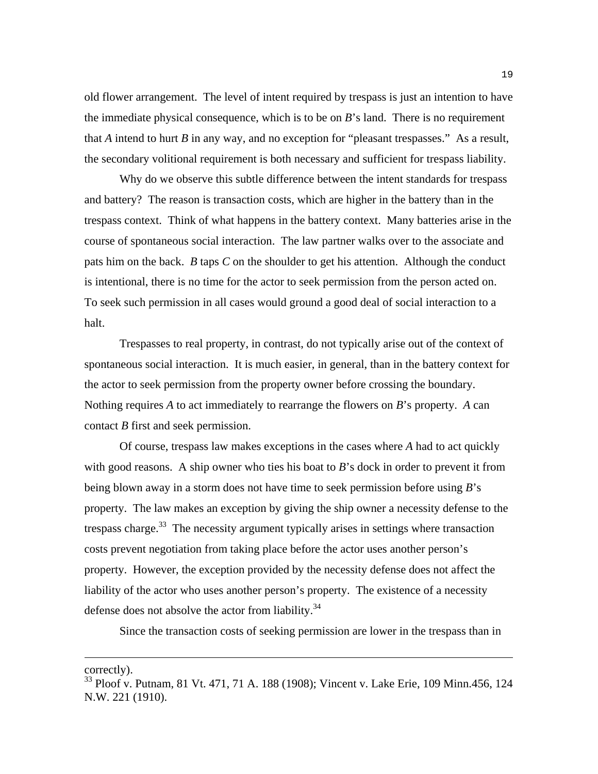old flower arrangement. The level of intent required by trespass is just an intention to have the immediate physical consequence, which is to be on *B*'s land. There is no requirement that *A* intend to hurt *B* in any way, and no exception for "pleasant trespasses." As a result, the secondary volitional requirement is both necessary and sufficient for trespass liability.

 Why do we observe this subtle difference between the intent standards for trespass and battery? The reason is transaction costs, which are higher in the battery than in the trespass context. Think of what happens in the battery context. Many batteries arise in the course of spontaneous social interaction. The law partner walks over to the associate and pats him on the back. *B* taps *C* on the shoulder to get his attention. Although the conduct is intentional, there is no time for the actor to seek permission from the person acted on. To seek such permission in all cases would ground a good deal of social interaction to a halt.

Trespasses to real property, in contrast, do not typically arise out of the context of spontaneous social interaction. It is much easier, in general, than in the battery context for the actor to seek permission from the property owner before crossing the boundary. Nothing requires *A* to act immediately to rearrange the flowers on *B*'s property. *A* can contact *B* first and seek permission.

 Of course, trespass law makes exceptions in the cases where *A* had to act quickly with good reasons. A ship owner who ties his boat to *B*'s dock in order to prevent it from being blown away in a storm does not have time to seek permission before using *B*'s property. The law makes an exception by giving the ship owner a necessity defense to the trespass charge.<sup>33</sup> The necessity argument typically arises in settings where transaction costs prevent negotiation from taking place before the actor uses another person's property. However, the exception provided by the necessity defense does not affect the liability of the actor who uses another person's property. The existence of a necessity defense does not absolve the actor from liability.<sup>34</sup>

Since the transaction costs of seeking permission are lower in the trespass than in

correctly).

<sup>&</sup>lt;sup>33</sup> Ploof v. Putnam, 81 Vt. 471, 71 A. 188 (1908); Vincent v. Lake Erie, 109 Minn.456, 124 N.W. 221 (1910).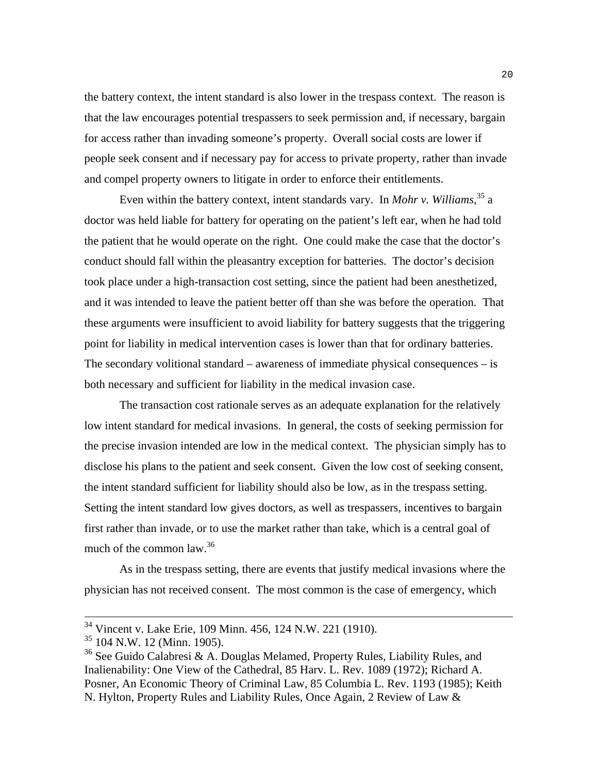the battery context, the intent standard is also lower in the trespass context. The reason is that the law encourages potential trespassers to seek permission and, if necessary, bargain for access rather than invading someone's property. Overall social costs are lower if people seek consent and if necessary pay for access to private property, rather than invade and compel property owners to litigate in order to enforce their entitlements.

 Even within the battery context, intent standards vary. In *Mohr v. Williams*, 35 a doctor was held liable for battery for operating on the patient's left ear, when he had told the patient that he would operate on the right. One could make the case that the doctor's conduct should fall within the pleasantry exception for batteries. The doctor's decision took place under a high-transaction cost setting, since the patient had been anesthetized, and it was intended to leave the patient better off than she was before the operation. That these arguments were insufficient to avoid liability for battery suggests that the triggering point for liability in medical intervention cases is lower than that for ordinary batteries. The secondary volitional standard – awareness of immediate physical consequences – is both necessary and sufficient for liability in the medical invasion case.

 The transaction cost rationale serves as an adequate explanation for the relatively low intent standard for medical invasions. In general, the costs of seeking permission for the precise invasion intended are low in the medical context. The physician simply has to disclose his plans to the patient and seek consent. Given the low cost of seeking consent, the intent standard sufficient for liability should also be low, as in the trespass setting. Setting the intent standard low gives doctors, as well as trespassers, incentives to bargain first rather than invade, or to use the market rather than take, which is a central goal of much of the common law.36

 As in the trespass setting, there are events that justify medical invasions where the physician has not received consent. The most common is the case of emergency, which

<sup>&</sup>lt;sup>34</sup> Vincent v. Lake Erie, 109 Minn. 456, 124 N.W. 221 (1910).

<sup>35 104</sup> N.W. 12 (Minn. 1905).

<sup>&</sup>lt;sup>36</sup> See Guido Calabresi & A. Douglas Melamed, Property Rules, Liability Rules, and Inalienability: One View of the Cathedral, 85 Harv. L. Rev. 1089 (1972); Richard A. Posner, An Economic Theory of Criminal Law, 85 Columbia L. Rev. 1193 (1985); Keith N. Hylton, Property Rules and Liability Rules, Once Again, 2 Review of Law &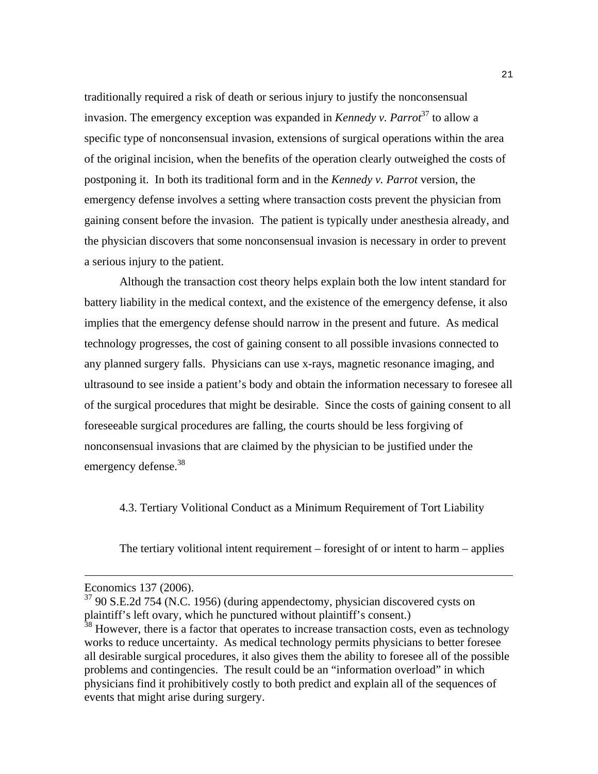traditionally required a risk of death or serious injury to justify the nonconsensual invasion. The emergency exception was expanded in *Kennedy v. Parrot*<sup>37</sup> to allow a specific type of nonconsensual invasion, extensions of surgical operations within the area of the original incision, when the benefits of the operation clearly outweighed the costs of postponing it. In both its traditional form and in the *Kennedy v. Parrot* version, the emergency defense involves a setting where transaction costs prevent the physician from gaining consent before the invasion. The patient is typically under anesthesia already, and the physician discovers that some nonconsensual invasion is necessary in order to prevent a serious injury to the patient.

 Although the transaction cost theory helps explain both the low intent standard for battery liability in the medical context, and the existence of the emergency defense, it also implies that the emergency defense should narrow in the present and future. As medical technology progresses, the cost of gaining consent to all possible invasions connected to any planned surgery falls. Physicians can use x-rays, magnetic resonance imaging, and ultrasound to see inside a patient's body and obtain the information necessary to foresee all of the surgical procedures that might be desirable. Since the costs of gaining consent to all foreseeable surgical procedures are falling, the courts should be less forgiving of nonconsensual invasions that are claimed by the physician to be justified under the emergency defense.<sup>38</sup>

4.3. Tertiary Volitional Conduct as a Minimum Requirement of Tort Liability

The tertiary volitional intent requirement – foresight of or intent to harm – applies

Economics 137 (2006).

 $37$  90 S.E.2d 754 (N.C. 1956) (during appendectomy, physician discovered cysts on plaintiff's left ovary, which he punctured without plaintiff's consent.)

 $38$  However, there is a factor that operates to increase transaction costs, even as technology works to reduce uncertainty. As medical technology permits physicians to better foresee all desirable surgical procedures, it also gives them the ability to foresee all of the possible problems and contingencies. The result could be an "information overload" in which physicians find it prohibitively costly to both predict and explain all of the sequences of events that might arise during surgery.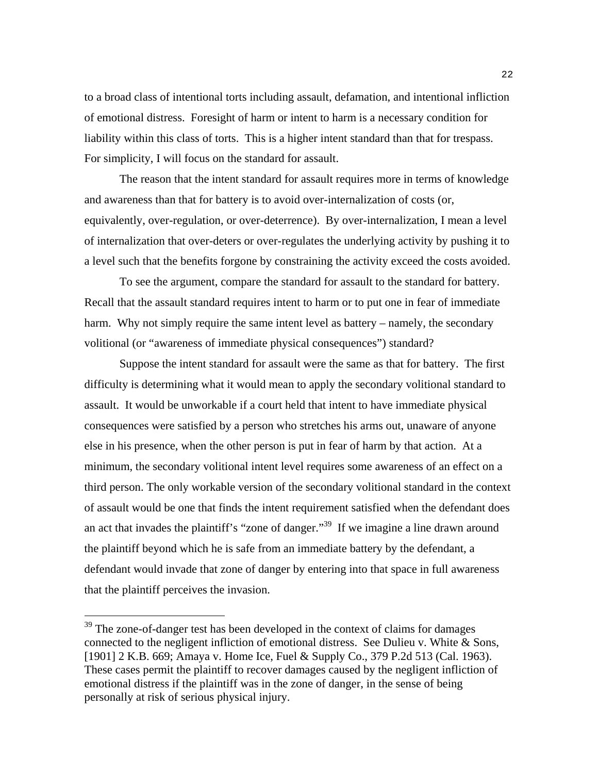to a broad class of intentional torts including assault, defamation, and intentional infliction of emotional distress. Foresight of harm or intent to harm is a necessary condition for liability within this class of torts. This is a higher intent standard than that for trespass. For simplicity, I will focus on the standard for assault.

 The reason that the intent standard for assault requires more in terms of knowledge and awareness than that for battery is to avoid over-internalization of costs (or, equivalently, over-regulation, or over-deterrence). By over-internalization, I mean a level of internalization that over-deters or over-regulates the underlying activity by pushing it to a level such that the benefits forgone by constraining the activity exceed the costs avoided.

 To see the argument, compare the standard for assault to the standard for battery. Recall that the assault standard requires intent to harm or to put one in fear of immediate harm. Why not simply require the same intent level as battery – namely, the secondary volitional (or "awareness of immediate physical consequences") standard?

 Suppose the intent standard for assault were the same as that for battery. The first difficulty is determining what it would mean to apply the secondary volitional standard to assault. It would be unworkable if a court held that intent to have immediate physical consequences were satisfied by a person who stretches his arms out, unaware of anyone else in his presence, when the other person is put in fear of harm by that action. At a minimum, the secondary volitional intent level requires some awareness of an effect on a third person. The only workable version of the secondary volitional standard in the context of assault would be one that finds the intent requirement satisfied when the defendant does an act that invades the plaintiff's "zone of danger."39 If we imagine a line drawn around the plaintiff beyond which he is safe from an immediate battery by the defendant, a defendant would invade that zone of danger by entering into that space in full awareness that the plaintiff perceives the invasion.

 $39$  The zone-of-danger test has been developed in the context of claims for damages connected to the negligent infliction of emotional distress. See Dulieu v. White & Sons, [1901] 2 K.B. 669; Amaya v. Home Ice, Fuel & Supply Co., 379 P.2d 513 (Cal. 1963). These cases permit the plaintiff to recover damages caused by the negligent infliction of emotional distress if the plaintiff was in the zone of danger, in the sense of being personally at risk of serious physical injury.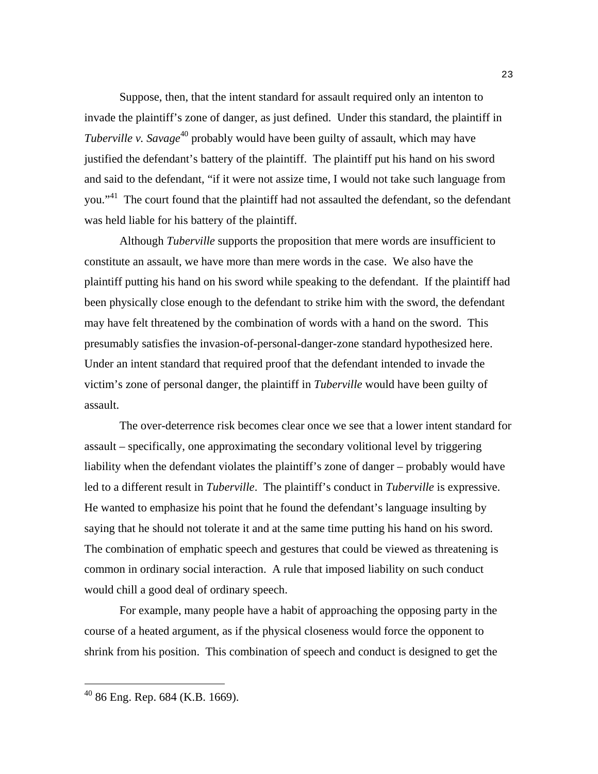Suppose, then, that the intent standard for assault required only an intenton to invade the plaintiff's zone of danger, as just defined. Under this standard, the plaintiff in *Tuberville v. Savage*<sup>40</sup> probably would have been guilty of assault, which may have justified the defendant's battery of the plaintiff. The plaintiff put his hand on his sword and said to the defendant, "if it were not assize time, I would not take such language from you."<sup>41</sup> The court found that the plaintiff had not assaulted the defendant, so the defendant was held liable for his battery of the plaintiff.

Although *Tuberville* supports the proposition that mere words are insufficient to constitute an assault, we have more than mere words in the case. We also have the plaintiff putting his hand on his sword while speaking to the defendant. If the plaintiff had been physically close enough to the defendant to strike him with the sword, the defendant may have felt threatened by the combination of words with a hand on the sword. This presumably satisfies the invasion-of-personal-danger-zone standard hypothesized here. Under an intent standard that required proof that the defendant intended to invade the victim's zone of personal danger, the plaintiff in *Tuberville* would have been guilty of assault.

 The over-deterrence risk becomes clear once we see that a lower intent standard for assault – specifically, one approximating the secondary volitional level by triggering liability when the defendant violates the plaintiff's zone of danger – probably would have led to a different result in *Tuberville*. The plaintiff's conduct in *Tuberville* is expressive. He wanted to emphasize his point that he found the defendant's language insulting by saying that he should not tolerate it and at the same time putting his hand on his sword. The combination of emphatic speech and gestures that could be viewed as threatening is common in ordinary social interaction. A rule that imposed liability on such conduct would chill a good deal of ordinary speech.

 For example, many people have a habit of approaching the opposing party in the course of a heated argument, as if the physical closeness would force the opponent to shrink from his position. This combination of speech and conduct is designed to get the

 $40$  86 Eng. Rep. 684 (K.B. 1669).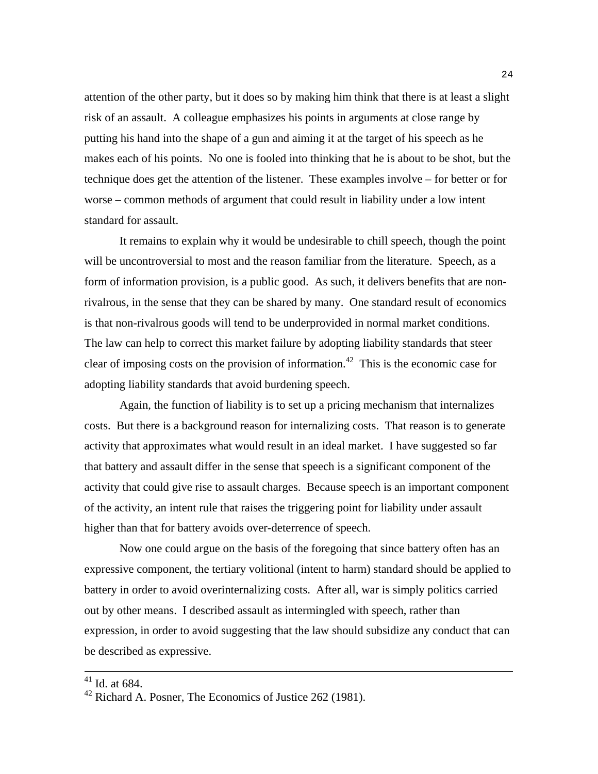attention of the other party, but it does so by making him think that there is at least a slight risk of an assault. A colleague emphasizes his points in arguments at close range by putting his hand into the shape of a gun and aiming it at the target of his speech as he makes each of his points. No one is fooled into thinking that he is about to be shot, but the technique does get the attention of the listener. These examples involve – for better or for worse – common methods of argument that could result in liability under a low intent standard for assault.

 It remains to explain why it would be undesirable to chill speech, though the point will be uncontroversial to most and the reason familiar from the literature. Speech, as a form of information provision, is a public good. As such, it delivers benefits that are nonrivalrous, in the sense that they can be shared by many. One standard result of economics is that non-rivalrous goods will tend to be underprovided in normal market conditions. The law can help to correct this market failure by adopting liability standards that steer clear of imposing costs on the provision of information.<sup>42</sup> This is the economic case for adopting liability standards that avoid burdening speech.

 Again, the function of liability is to set up a pricing mechanism that internalizes costs. But there is a background reason for internalizing costs. That reason is to generate activity that approximates what would result in an ideal market. I have suggested so far that battery and assault differ in the sense that speech is a significant component of the activity that could give rise to assault charges. Because speech is an important component of the activity, an intent rule that raises the triggering point for liability under assault higher than that for battery avoids over-deterrence of speech.

 Now one could argue on the basis of the foregoing that since battery often has an expressive component, the tertiary volitional (intent to harm) standard should be applied to battery in order to avoid overinternalizing costs. After all, war is simply politics carried out by other means. I described assault as intermingled with speech, rather than expression, in order to avoid suggesting that the law should subsidize any conduct that can be described as expressive.

 $41$  Id. at 684.

<sup>42</sup> Richard A. Posner, The Economics of Justice 262 (1981).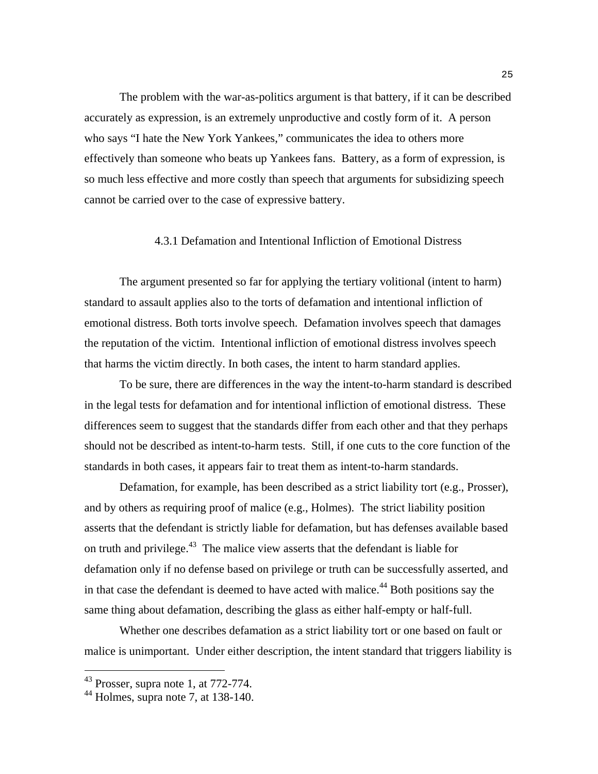The problem with the war-as-politics argument is that battery, if it can be described accurately as expression, is an extremely unproductive and costly form of it. A person who says "I hate the New York Yankees," communicates the idea to others more effectively than someone who beats up Yankees fans. Battery, as a form of expression, is so much less effective and more costly than speech that arguments for subsidizing speech cannot be carried over to the case of expressive battery.

#### 4.3.1 Defamation and Intentional Infliction of Emotional Distress

 The argument presented so far for applying the tertiary volitional (intent to harm) standard to assault applies also to the torts of defamation and intentional infliction of emotional distress. Both torts involve speech. Defamation involves speech that damages the reputation of the victim. Intentional infliction of emotional distress involves speech that harms the victim directly. In both cases, the intent to harm standard applies.

 To be sure, there are differences in the way the intent-to-harm standard is described in the legal tests for defamation and for intentional infliction of emotional distress. These differences seem to suggest that the standards differ from each other and that they perhaps should not be described as intent-to-harm tests. Still, if one cuts to the core function of the standards in both cases, it appears fair to treat them as intent-to-harm standards.

 Defamation, for example, has been described as a strict liability tort (e.g., Prosser), and by others as requiring proof of malice (e.g., Holmes). The strict liability position asserts that the defendant is strictly liable for defamation, but has defenses available based on truth and privilege.43 The malice view asserts that the defendant is liable for defamation only if no defense based on privilege or truth can be successfully asserted, and in that case the defendant is deemed to have acted with malice.<sup>44</sup> Both positions say the same thing about defamation, describing the glass as either half-empty or half-full.

 Whether one describes defamation as a strict liability tort or one based on fault or malice is unimportant. Under either description, the intent standard that triggers liability is

 $43$  Prosser, supra note 1, at 772-774.

 $44$  Holmes, supra note 7, at 138-140.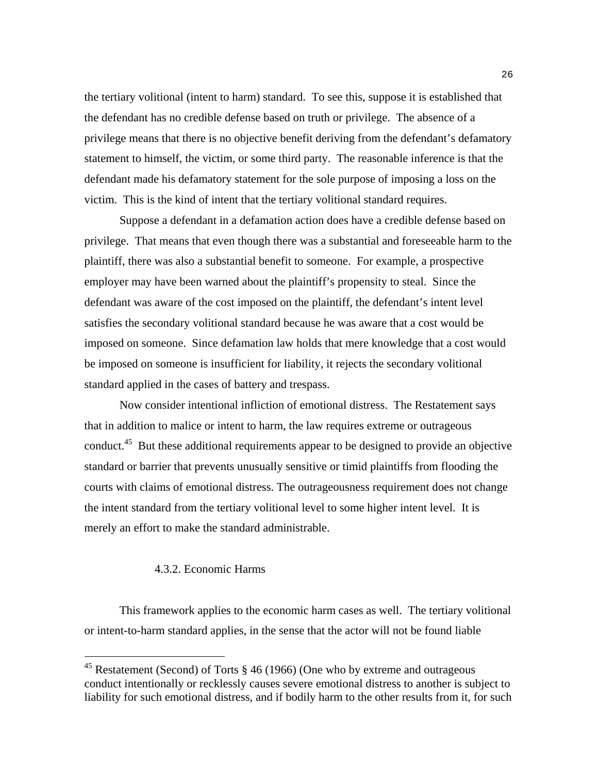the tertiary volitional (intent to harm) standard. To see this, suppose it is established that the defendant has no credible defense based on truth or privilege. The absence of a privilege means that there is no objective benefit deriving from the defendant's defamatory statement to himself, the victim, or some third party. The reasonable inference is that the defendant made his defamatory statement for the sole purpose of imposing a loss on the victim. This is the kind of intent that the tertiary volitional standard requires.

 Suppose a defendant in a defamation action does have a credible defense based on privilege. That means that even though there was a substantial and foreseeable harm to the plaintiff, there was also a substantial benefit to someone. For example, a prospective employer may have been warned about the plaintiff's propensity to steal. Since the defendant was aware of the cost imposed on the plaintiff, the defendant's intent level satisfies the secondary volitional standard because he was aware that a cost would be imposed on someone. Since defamation law holds that mere knowledge that a cost would be imposed on someone is insufficient for liability, it rejects the secondary volitional standard applied in the cases of battery and trespass.

 Now consider intentional infliction of emotional distress. The Restatement says that in addition to malice or intent to harm, the law requires extreme or outrageous conduct.<sup>45</sup> But these additional requirements appear to be designed to provide an objective standard or barrier that prevents unusually sensitive or timid plaintiffs from flooding the courts with claims of emotional distress. The outrageousness requirement does not change the intent standard from the tertiary volitional level to some higher intent level. It is merely an effort to make the standard administrable.

#### 4.3.2. Economic Harms

i

This framework applies to the economic harm cases as well. The tertiary volitional or intent-to-harm standard applies, in the sense that the actor will not be found liable

<sup>&</sup>lt;sup>45</sup> Restatement (Second) of Torts  $\S$  46 (1966) (One who by extreme and outrageous conduct intentionally or recklessly causes severe emotional distress to another is subject to liability for such emotional distress, and if bodily harm to the other results from it, for such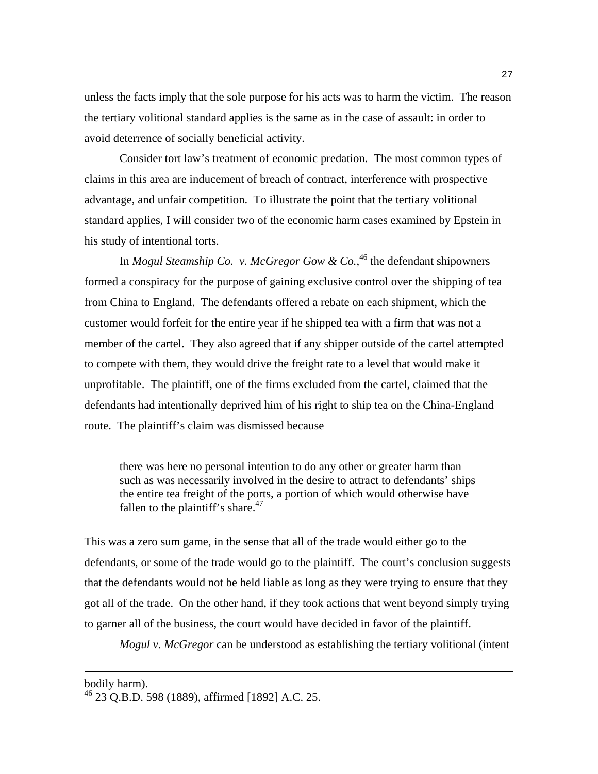unless the facts imply that the sole purpose for his acts was to harm the victim. The reason the tertiary volitional standard applies is the same as in the case of assault: in order to avoid deterrence of socially beneficial activity.

 Consider tort law's treatment of economic predation. The most common types of claims in this area are inducement of breach of contract, interference with prospective advantage, and unfair competition. To illustrate the point that the tertiary volitional standard applies, I will consider two of the economic harm cases examined by Epstein in his study of intentional torts.

In *Mogul Steamship Co. v. McGregor Gow & Co.*, <sup>46</sup> the defendant shipowners formed a conspiracy for the purpose of gaining exclusive control over the shipping of tea from China to England. The defendants offered a rebate on each shipment, which the customer would forfeit for the entire year if he shipped tea with a firm that was not a member of the cartel. They also agreed that if any shipper outside of the cartel attempted to compete with them, they would drive the freight rate to a level that would make it unprofitable. The plaintiff, one of the firms excluded from the cartel, claimed that the defendants had intentionally deprived him of his right to ship tea on the China-England route. The plaintiff's claim was dismissed because

there was here no personal intention to do any other or greater harm than such as was necessarily involved in the desire to attract to defendants' ships the entire tea freight of the ports, a portion of which would otherwise have fallen to the plaintiff's share. $47$ 

This was a zero sum game, in the sense that all of the trade would either go to the defendants, or some of the trade would go to the plaintiff. The court's conclusion suggests that the defendants would not be held liable as long as they were trying to ensure that they got all of the trade. On the other hand, if they took actions that went beyond simply trying to garner all of the business, the court would have decided in favor of the plaintiff.

*Mogul v. McGregor* can be understood as establishing the tertiary volitional (intent

bodily harm).

<sup>46 23</sup> Q.B.D. 598 (1889), affirmed [1892] A.C. 25.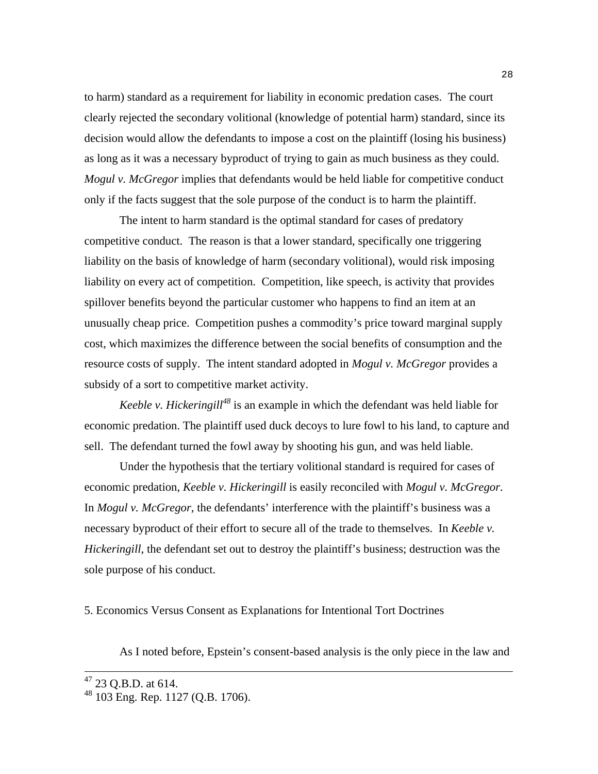to harm) standard as a requirement for liability in economic predation cases. The court clearly rejected the secondary volitional (knowledge of potential harm) standard, since its decision would allow the defendants to impose a cost on the plaintiff (losing his business) as long as it was a necessary byproduct of trying to gain as much business as they could. *Mogul v. McGregor* implies that defendants would be held liable for competitive conduct only if the facts suggest that the sole purpose of the conduct is to harm the plaintiff.

 The intent to harm standard is the optimal standard for cases of predatory competitive conduct. The reason is that a lower standard, specifically one triggering liability on the basis of knowledge of harm (secondary volitional), would risk imposing liability on every act of competition. Competition, like speech, is activity that provides spillover benefits beyond the particular customer who happens to find an item at an unusually cheap price. Competition pushes a commodity's price toward marginal supply cost, which maximizes the difference between the social benefits of consumption and the resource costs of supply. The intent standard adopted in *Mogul v. McGregor* provides a subsidy of a sort to competitive market activity.

*Keeble v. Hickeringill<sup>48</sup>* is an example in which the defendant was held liable for economic predation. The plaintiff used duck decoys to lure fowl to his land, to capture and sell. The defendant turned the fowl away by shooting his gun, and was held liable.

Under the hypothesis that the tertiary volitional standard is required for cases of economic predation, *Keeble v. Hickeringill* is easily reconciled with *Mogul v. McGregor*. In *Mogul v. McGregor*, the defendants' interference with the plaintiff's business was a necessary byproduct of their effort to secure all of the trade to themselves. In *Keeble v. Hickeringill*, the defendant set out to destroy the plaintiff's business; destruction was the sole purpose of his conduct.

5. Economics Versus Consent as Explanations for Intentional Tort Doctrines

As I noted before, Epstein's consent-based analysis is the only piece in the law and

 $47$  23 Q.B.D. at 614.

<sup>48 103</sup> Eng. Rep. 1127 (Q.B. 1706).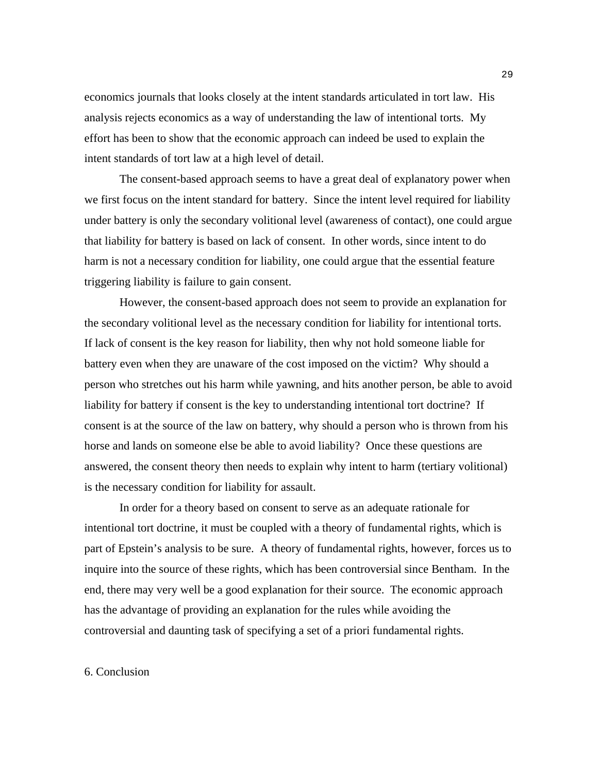economics journals that looks closely at the intent standards articulated in tort law. His analysis rejects economics as a way of understanding the law of intentional torts. My effort has been to show that the economic approach can indeed be used to explain the intent standards of tort law at a high level of detail.

 The consent-based approach seems to have a great deal of explanatory power when we first focus on the intent standard for battery. Since the intent level required for liability under battery is only the secondary volitional level (awareness of contact), one could argue that liability for battery is based on lack of consent. In other words, since intent to do harm is not a necessary condition for liability, one could argue that the essential feature triggering liability is failure to gain consent.

 However, the consent-based approach does not seem to provide an explanation for the secondary volitional level as the necessary condition for liability for intentional torts. If lack of consent is the key reason for liability, then why not hold someone liable for battery even when they are unaware of the cost imposed on the victim? Why should a person who stretches out his harm while yawning, and hits another person, be able to avoid liability for battery if consent is the key to understanding intentional tort doctrine? If consent is at the source of the law on battery, why should a person who is thrown from his horse and lands on someone else be able to avoid liability? Once these questions are answered, the consent theory then needs to explain why intent to harm (tertiary volitional) is the necessary condition for liability for assault.

 In order for a theory based on consent to serve as an adequate rationale for intentional tort doctrine, it must be coupled with a theory of fundamental rights, which is part of Epstein's analysis to be sure. A theory of fundamental rights, however, forces us to inquire into the source of these rights, which has been controversial since Bentham. In the end, there may very well be a good explanation for their source. The economic approach has the advantage of providing an explanation for the rules while avoiding the controversial and daunting task of specifying a set of a priori fundamental rights.

#### 6. Conclusion